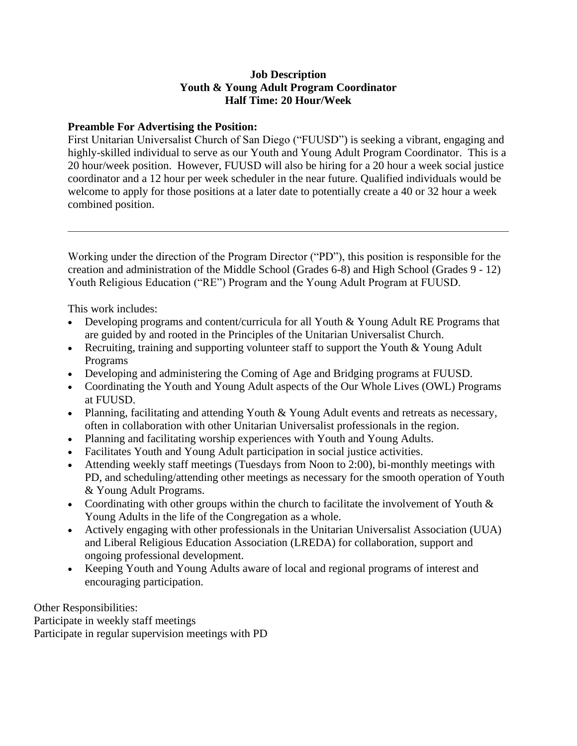## **Job Description Youth & Young Adult Program Coordinator Half Time: 20 Hour/Week**

## **Preamble For Advertising the Position:**

First Unitarian Universalist Church of San Diego ("FUUSD") is seeking a vibrant, engaging and highly-skilled individual to serve as our Youth and Young Adult Program Coordinator. This is a 20 hour/week position. However, FUUSD will also be hiring for a 20 hour a week social justice coordinator and a 12 hour per week scheduler in the near future. Qualified individuals would be welcome to apply for those positions at a later date to potentially create a 40 or 32 hour a week combined position.

Working under the direction of the Program Director ("PD"), this position is responsible for the creation and administration of the Middle School (Grades 6-8) and High School (Grades 9 - 12) Youth Religious Education ("RE") Program and the Young Adult Program at FUUSD.

 $\overline{\phantom{a}}$  , and the contract of the contract of the contract of the contract of the contract of the contract of the contract of the contract of the contract of the contract of the contract of the contract of the contrac

This work includes:

- Developing programs and content/curricula for all Youth & Young Adult RE Programs that are guided by and rooted in the Principles of the Unitarian Universalist Church.
- Recruiting, training and supporting volunteer staff to support the Youth & Young Adult Programs
- Developing and administering the Coming of Age and Bridging programs at FUUSD.
- Coordinating the Youth and Young Adult aspects of the Our Whole Lives (OWL) Programs at FUUSD.
- Planning, facilitating and attending Youth & Young Adult events and retreats as necessary, often in collaboration with other Unitarian Universalist professionals in the region.
- Planning and facilitating worship experiences with Youth and Young Adults.
- Facilitates Youth and Young Adult participation in social justice activities.
- Attending weekly staff meetings (Tuesdays from Noon to 2:00), bi-monthly meetings with PD, and scheduling/attending other meetings as necessary for the smooth operation of Youth & Young Adult Programs.
- Coordinating with other groups within the church to facilitate the involvement of Youth & Young Adults in the life of the Congregation as a whole.
- Actively engaging with other professionals in the Unitarian Universalist Association (UUA) and Liberal Religious Education Association (LREDA) for collaboration, support and ongoing professional development.
- Keeping Youth and Young Adults aware of local and regional programs of interest and encouraging participation.

Other Responsibilities:

Participate in weekly staff meetings Participate in regular supervision meetings with PD